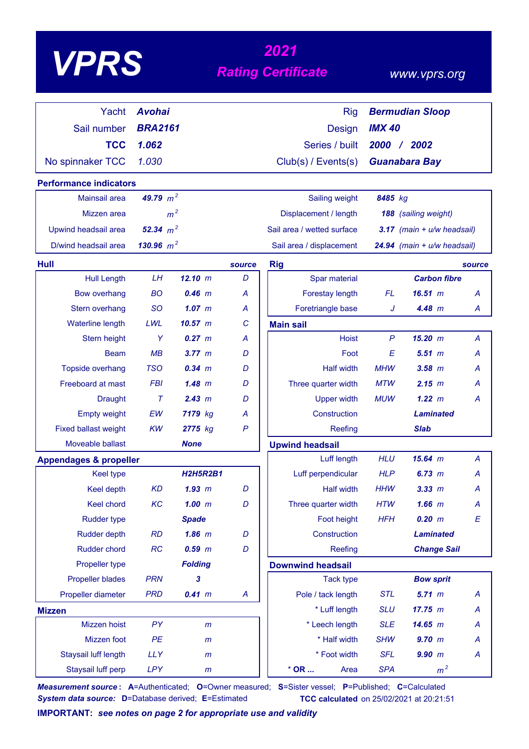# *<sup>2021</sup> VPRS Rating Certificate*

### *www.vprs.org*

| Yacht                                          | <b>Avohai</b>  |                 |              | <b>Rig</b>                 |               | <b>Bermudian Sloop</b>         |
|------------------------------------------------|----------------|-----------------|--------------|----------------------------|---------------|--------------------------------|
| Sail number                                    | <b>BRA2161</b> |                 |              | <b>Design</b>              | <b>IMX 40</b> |                                |
| <b>TCC</b>                                     | 1.062          |                 |              | Series / built             | 2000          | $/$ 2002                       |
| No spinnaker TCC                               | 1.030          |                 |              | Club(s) / Events(s)        |               | <b>Guanabara Bay</b>           |
|                                                |                |                 |              |                            |               |                                |
| <b>Performance indicators</b><br>Mainsail area | 49.79 $m^2$    |                 |              | Sailing weight             | 8485 kg       |                                |
|                                                |                |                 |              |                            |               |                                |
| Mizzen area                                    |                | m <sup>2</sup>  |              | Displacement / length      |               | 188 (sailing weight)           |
| Upwind headsail area                           | 52.34 $m^2$    |                 |              | Sail area / wetted surface |               | $3.17$ (main + $u/w$ headsail) |
| D/wind headsail area                           | 130.96 $m^2$   |                 |              | Sail area / displacement   |               | 24.94 (main + u/w headsail)    |
| Hull                                           |                |                 | source       | <b>Rig</b>                 |               | source                         |
| <b>Hull Length</b>                             | LH             | 12.10 m         | D            | Spar material              |               | <b>Carbon fibre</b>            |
| <b>Bow overhang</b>                            | <b>BO</b>      | $0.46$ m        | A            | Forestay length            | FL            | 16.51 m<br>A                   |
| Stern overhang                                 | <b>SO</b>      | $1.07$ $m$      | A            | Foretriangle base          | J             | 4.48 m<br>A                    |
| Waterline length                               | LWL            | 10.57 m         | C            | <b>Main sail</b>           |               |                                |
| Stern height                                   | Y              | 0.27 m          | A            | <b>Hoist</b>               | P             | 15.20 m<br>A                   |
| <b>Beam</b>                                    | MB             | 3.77~m          | D            | Foot                       | E             | 5.51~m<br>A                    |
| Topside overhang                               | <b>TSO</b>     | $0.34 \, m$     | D            | <b>Half width</b>          | <b>MHW</b>    | $3.58$ $m$<br>Α                |
| Freeboard at mast                              | <b>FBI</b>     | 1.48~m          | D            | Three quarter width        | <b>MTW</b>    | 2.15~m<br>А                    |
| <b>Draught</b>                                 | $\tau$         | 2.43 m          | D            | <b>Upper width</b>         | <b>MUW</b>    | 1.22 m<br>A                    |
| <b>Empty weight</b>                            | EW             | 7179 kg         | A            | Construction               |               | <b>Laminated</b>               |
| <b>Fixed ballast weight</b>                    | <b>KW</b>      | 2775 kg         | $\mathsf{P}$ | Reefing                    |               | <b>Slab</b>                    |
| Moveable ballast                               |                | <b>None</b>     |              | <b>Upwind headsail</b>     |               |                                |
| <b>Appendages &amp; propeller</b>              |                |                 |              | Luff length                | <b>HLU</b>    | $15.64$ m<br>A                 |
| <b>Keel type</b>                               |                | <b>H2H5R2B1</b> |              | Luff perpendicular         | <b>HLP</b>    | 6.73~m<br>A                    |
| <b>Keel depth</b>                              | <b>KD</b>      | $1.93$ $m$      | D            | <b>Half width</b>          | <b>HHW</b>    | 3.33 m<br>A                    |
| Keel chord                                     | KC             | $1.00$ m        | D            | Three quarter width        | <b>HTW</b>    | $1.66$ $m$<br>A                |
| <b>Rudder type</b>                             |                | <b>Spade</b>    |              | Foot height                | <b>HFH</b>    | 0.20 m<br>$\boldsymbol{E}$     |
| <b>Rudder depth</b>                            | <b>RD</b>      | $1.86$ $m$      | D            | Construction               |               | <b>Laminated</b>               |
| Rudder chord                                   | <b>RC</b>      | $0.59$ $m$      | D            | Reefing                    |               | <b>Change Sail</b>             |
| Propeller type                                 |                | <b>Folding</b>  |              | <b>Downwind headsail</b>   |               |                                |
| <b>Propeller blades</b>                        | <b>PRN</b>     | 3               |              | <b>Tack type</b>           |               | <b>Bow sprit</b>               |
| Propeller diameter                             | <b>PRD</b>     | 0.41 m          | A            | Pole / tack length         | <b>STL</b>    | 5.71 m<br>A                    |
| <b>Mizzen</b>                                  |                |                 |              | * Luff length              | <b>SLU</b>    | 17.75 m<br>A                   |
| Mizzen hoist                                   | PY             | $\mathsf{m}$    |              | * Leech length             | <b>SLE</b>    | 14.65 m<br>A                   |
| Mizzen foot                                    | PE             | m               |              | * Half width               | <b>SHW</b>    | $9.70$ m<br>A                  |
| Staysail luff length                           | <b>LLY</b>     | $\mathsf{m}$    |              | * Foot width               | <b>SFL</b>    | 9.90 m<br>A                    |
| Staysail luff perp                             | <b>LPY</b>     | m               |              | $*$ OR<br>Area             | <b>SPA</b>    | m <sup>2</sup>                 |

*Measurement source* **: A**=Authenticated; **O**=Owner measured; **S**=Sister vessel; **P**=Published; **C**=Calculated *System data source:* **D**=Database derived; **E**=Estimated **TCC calculated** on 25/02/2021 at 20:21:51

**IMPORTANT:** *see notes on page 2 for appropriate use and validity*